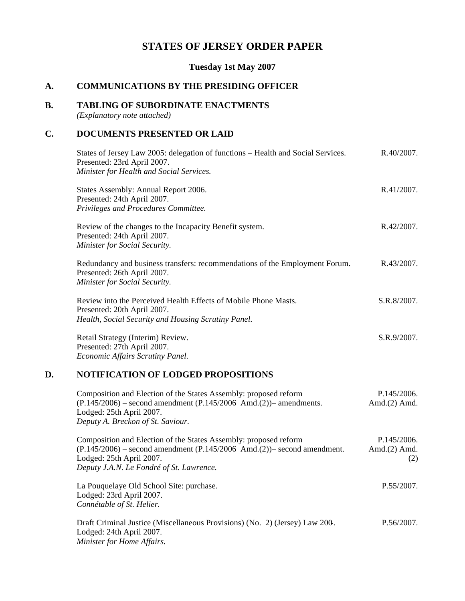# **STATES OF JERSEY ORDER PAPER**

## **Tuesday 1st May 2007**

## **A. COMMUNICATIONS BY THE PRESIDING OFFICER**

## **B. TABLING OF SUBORDINATE ENACTMENTS**

*(Explanatory note attached)*

## **C. DOCUMENTS PRESENTED OR LAID**

| States of Jersey Law 2005: delegation of functions – Health and Social Services.<br>Presented: 23rd April 2007.<br>Minister for Health and Social Services. | R.40/2007.  |
|-------------------------------------------------------------------------------------------------------------------------------------------------------------|-------------|
| States Assembly: Annual Report 2006.<br>Presented: 24th April 2007.<br>Privileges and Procedures Committee.                                                 | R.41/2007.  |
| Review of the changes to the Incapacity Benefit system.<br>Presented: 24th April 2007.<br>Minister for Social Security.                                     | R.42/2007.  |
| Redundancy and business transfers: recommendations of the Employment Forum.<br>Presented: 26th April 2007.<br>Minister for Social Security.                 | R.43/2007.  |
| Review into the Perceived Health Effects of Mobile Phone Masts.<br>Presented: 20th April 2007.<br>Health, Social Security and Housing Scrutiny Panel.       | S.R.8/2007. |
| Retail Strategy (Interim) Review.<br>Presented: 27th April 2007.<br>Economic Affairs Scrutiny Panel.                                                        | S.R.9/2007. |
| LOBIBLO LBLOM OR LOBORD BROBOGHBLOMG                                                                                                                        |             |

## **D. NOTIFICATION OF LODGED PROPOSITIONS**

| Composition and Election of the States Assembly: proposed reform                | P.145/2006.     |
|---------------------------------------------------------------------------------|-----------------|
| $(P.145/2006)$ – second amendment $(P.145/2006 \text{ And.}(2))$ – amendments.  | Amd. $(2)$ Amd. |
| Lodged: 25th April 2007.                                                        |                 |
| Deputy A. Breckon of St. Saviour.                                               |                 |
|                                                                                 |                 |
| Composition and Election of the States Assembly: proposed reform                | P.145/2006.     |
| $(P.145/2006)$ – second amendment $(P.145/2006$ Amd. $(2))$ – second amendment. | Amd. $(2)$ Amd. |
| Lodged: 25th April 2007.                                                        |                 |

Lodged: 25th April 2007. *Deputy J.A.N. Le Fondré of St. Lawrence.*

La Pouquelaye Old School Site: purchase. Lodged: 23rd April 2007. *Connétable of St. Helier.* P.55/2007.

Draft Criminal Justice (Miscellaneous Provisions) (No. 2) (Jersey) Law 200-. Lodged: 24th April 2007. *Minister for Home Affairs.* P.56/2007.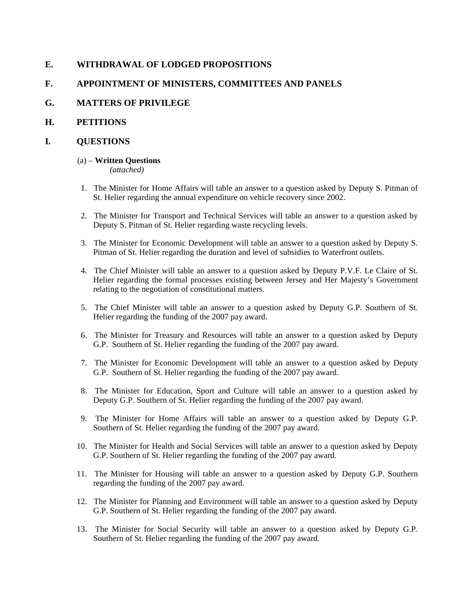## **E. WITHDRAWAL OF LODGED PROPOSITIONS**

## **F. APPOINTMENT OF MINISTERS, COMMITTEES AND PANELS**

## **G. MATTERS OF PRIVILEGE**

## **H. PETITIONS**

## **I. QUESTIONS**

## (a) – **Written Questions**

*(attached)*

- 1. The Minister for Home Affairs will table an answer to a question asked by Deputy S. Pitman of St. Helier regarding the annual expenditure on vehicle recovery since 2002.
- 2. The Minister for Transport and Technical Services will table an answer to a question asked by Deputy S. Pitman of St. Helier regarding waste recycling levels.
- 3. The Minister for Economic Development will table an answer to a question asked by Deputy S. Pitman of St. Helier regarding the duration and level of subsidies to Waterfront outlets.
- 4. The Chief Minister will table an answer to a question asked by Deputy P.V.F. Le Claire of St. Helier regarding the formal processes existing between Jersey and Her Majesty's Government relating to the negotiation of constitutional matters.
- 5. The Chief Minister will table an answer to a question asked by Deputy G.P. Southern of St. Helier regarding the funding of the 2007 pay award.
- 6. The Minister for Treasury and Resources will table an answer to a question asked by Deputy G.P. Southern of St. Helier regarding the funding of the 2007 pay award.
- 7. The Minister for Economic Development will table an answer to a question asked by Deputy G.P. Southern of St. Helier regarding the funding of the 2007 pay award.
- 8. The Minister for Education, Sport and Culture will table an answer to a question asked by Deputy G.P. Southern of St. Helier regarding the funding of the 2007 pay award.
- 9. The Minister for Home Affairs will table an answer to a question asked by Deputy G.P. Southern of St. Helier regarding the funding of the 2007 pay award.
- 10. The Minister for Health and Social Services will table an answer to a question asked by Deputy G.P. Southern of St. Helier regarding the funding of the 2007 pay award.
- 11. The Minister for Housing will table an answer to a question asked by Deputy G.P. Southern regarding the funding of the 2007 pay award.
- 12. The Minister for Planning and Environment will table an answer to a question asked by Deputy G.P. Southern of St. Helier regarding the funding of the 2007 pay award.
- 13. The Minister for Social Security will table an answer to a question asked by Deputy G.P. Southern of St. Helier regarding the funding of the 2007 pay award.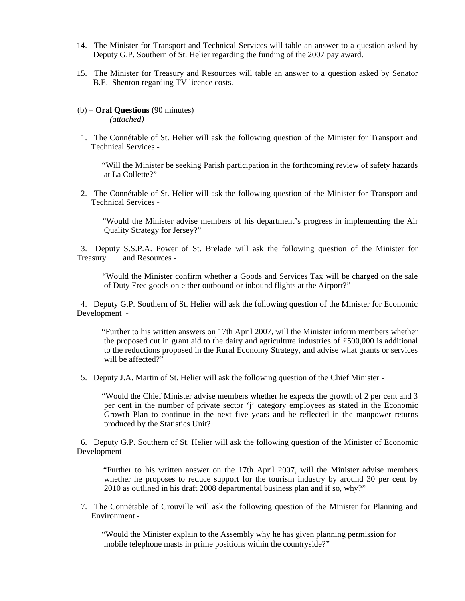- 14. The Minister for Transport and Technical Services will table an answer to a question asked by Deputy G.P. Southern of St. Helier regarding the funding of the 2007 pay award.
- 15. The Minister for Treasury and Resources will table an answer to a question asked by Senator B.E. Shenton regarding TV licence costs.
- (b) **Oral Questions** (90 minutes) *(attached)*
- 1. The Connétable of St. Helier will ask the following question of the Minister for Transport and Technical Services -

 "Will the Minister be seeking Parish participation in the forthcoming review of safety hazards at La Collette?"

 2. The Connétable of St. Helier will ask the following question of the Minister for Transport and Technical Services -

 "Would the Minister advise members of his department's progress in implementing the Air Quality Strategy for Jersey?"

 3. Deputy S.S.P.A. Power of St. Brelade will ask the following question of the Minister for Treasury and Resources -

 "Would the Minister confirm whether a Goods and Services Tax will be charged on the sale of Duty Free goods on either outbound or inbound flights at the Airport?"

 4. Deputy G.P. Southern of St. Helier will ask the following question of the Minister for Economic Development -

 "Further to his written answers on 17th April 2007, will the Minister inform members whether the proposed cut in grant aid to the dairy and agriculture industries of £500,000 is additional to the reductions proposed in the Rural Economy Strategy, and advise what grants or services will be affected?"

5. Deputy J.A. Martin of St. Helier will ask the following question of the Chief Minister -

 "Would the Chief Minister advise members whether he expects the growth of 2 per cent and 3 per cent in the number of private sector 'j' category employees as stated in the Economic Growth Plan to continue in the next five years and be reflected in the manpower returns produced by the Statistics Unit?

 6. Deputy G.P. Southern of St. Helier will ask the following question of the Minister of Economic Development -

 "Further to his written answer on the 17th April 2007, will the Minister advise members whether he proposes to reduce support for the tourism industry by around 30 per cent by 2010 as outlined in his draft 2008 departmental business plan and if so, why?"

 7. The Connétable of Grouville will ask the following question of the Minister for Planning and Environment -

 "Would the Minister explain to the Assembly why he has given planning permission for mobile telephone masts in prime positions within the countryside?"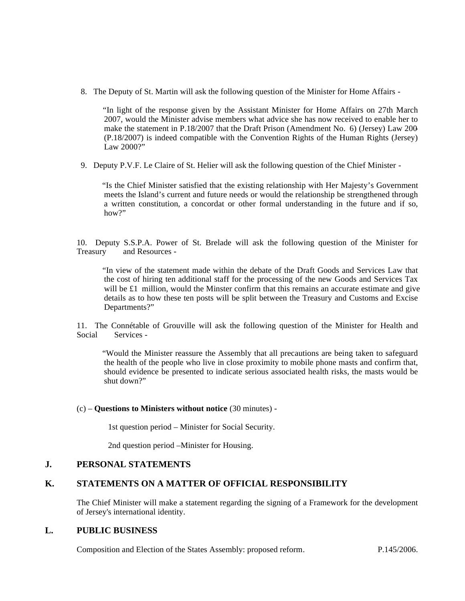8. The Deputy of St. Martin will ask the following question of the Minister for Home Affairs -

 "In light of the response given by the Assistant Minister for Home Affairs on 27th March 2007, would the Minister advise members what advice she has now received to enable her to make the statement in P.18/2007 that the Draft Prison (Amendment No. 6) (Jersey) Law 200- (P.18/2007) is indeed compatible with the Convention Rights of the Human Rights (Jersey) Law 2000?"

9. Deputy P.V.F. Le Claire of St. Helier will ask the following question of the Chief Minister -

 "Is the Chief Minister satisfied that the existing relationship with Her Majesty's Government meets the Island's current and future needs or would the relationship be strengthened through a written constitution, a concordat or other formal understanding in the future and if so, how?"

10. Deputy S.S.P.A. Power of St. Brelade will ask the following question of the Minister for Treasury and Resources -

 "In view of the statement made within the debate of the Draft Goods and Services Law that the cost of hiring ten additional staff for the processing of the new Goods and Services Tax will be £1 million, would the Minster confirm that this remains an accurate estimate and give details as to how these ten posts will be split between the Treasury and Customs and Excise Departments?"

11. The Connétable of Grouville will ask the following question of the Minister for Health and Social Services -

 "Would the Minister reassure the Assembly that all precautions are being taken to safeguard the health of the people who live in close proximity to mobile phone masts and confirm that, should evidence be presented to indicate serious associated health risks, the masts would be shut down?"

#### (c) – **Questions to Ministers without notice** (30 minutes) -

1st question period – Minister for Social Security.

2nd question period –Minister for Housing.

## **J. PERSONAL STATEMENTS**

## **K. STATEMENTS ON A MATTER OF OFFICIAL RESPONSIBILITY**

The Chief Minister will make a statement regarding the signing of a Framework for the development of Jersey's international identity.

## **L. PUBLIC BUSINESS**

Composition and Election of the States Assembly: proposed reform. P.145/2006.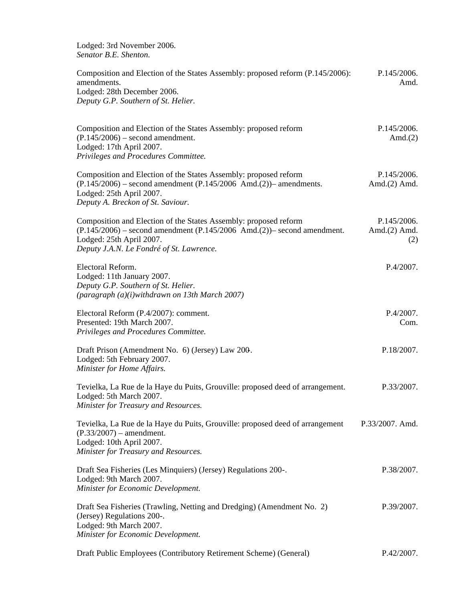Lodged: 3rd November 2006. *Senator B.E. Shenton.*

| Composition and Election of the States Assembly: proposed reform (P.145/2006):<br>amendments.<br>Lodged: 28th December 2006.<br>Deputy G.P. Southern of St. Helier.                                                              | P.145/2006.<br>Amd.                   |
|----------------------------------------------------------------------------------------------------------------------------------------------------------------------------------------------------------------------------------|---------------------------------------|
| Composition and Election of the States Assembly: proposed reform<br>$(P.145/2006)$ – second amendment.<br>Lodged: 17th April 2007.<br>Privileges and Procedures Committee.                                                       | P.145/2006.<br>Amd. $(2)$             |
| Composition and Election of the States Assembly: proposed reform<br>$(P.145/2006)$ – second amendment $(P.145/2006 \text{ And.}(2))$ – amendments.<br>Lodged: 25th April 2007.<br>Deputy A. Breckon of St. Saviour.              | P.145/2006.<br>Amd. $(2)$ Amd.        |
| Composition and Election of the States Assembly: proposed reform<br>$(P.145/2006)$ – second amendment $(P.145/2006 \text{ And.}(2))$ – second amendment.<br>Lodged: 25th April 2007.<br>Deputy J.A.N. Le Fondré of St. Lawrence. | P.145/2006.<br>Amd. $(2)$ Amd.<br>(2) |
| Electoral Reform.<br>Lodged: 11th January 2007.<br>Deputy G.P. Southern of St. Helier.<br>(paragraph (a)(i)withdrawn on 13th March 2007)                                                                                         | P.4/2007.                             |
| Electoral Reform (P.4/2007): comment.<br>Presented: 19th March 2007.<br>Privileges and Procedures Committee.                                                                                                                     | P.4/2007.<br>Com.                     |
| Draft Prison (Amendment No. 6) (Jersey) Law 200.<br>Lodged: 5th February 2007.<br>Minister for Home Affairs.                                                                                                                     | P.18/2007.                            |
| Tevielka, La Rue de la Haye du Puits, Grouville: proposed deed of arrangement.<br>Lodged: 5th March 2007.<br>Minister for Treasury and Resources.                                                                                | P.33/2007.                            |
| Tevielka, La Rue de la Haye du Puits, Grouville: proposed deed of arrangement<br>$(P.33/2007)$ – amendment.<br>Lodged: 10th April 2007.<br>Minister for Treasury and Resources.                                                  | P.33/2007. Amd.                       |
| Draft Sea Fisheries (Les Minquiers) (Jersey) Regulations 200-.<br>Lodged: 9th March 2007.<br>Minister for Economic Development.                                                                                                  | P.38/2007.                            |
| Draft Sea Fisheries (Trawling, Netting and Dredging) (Amendment No. 2)<br>(Jersey) Regulations 200-.<br>Lodged: 9th March 2007.<br>Minister for Economic Development.                                                            | P.39/2007.                            |

Draft Public Employees (Contributory Retirement Scheme) (General) P.42/2007.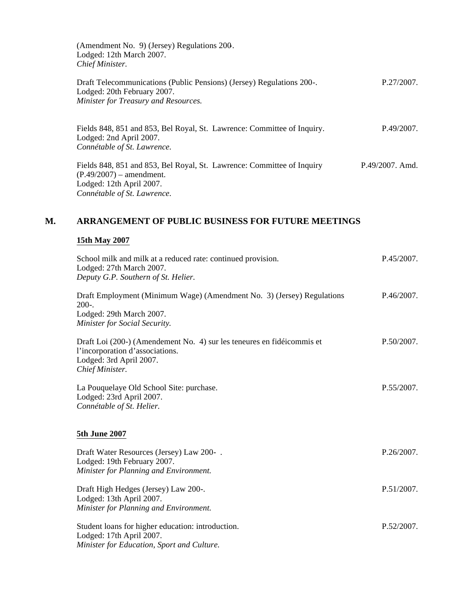(Amendment No. 9) (Jersey) Regulations 200-. Lodged: 12th March 2007. *Chief Minister.* Draft Telecommunications (Public Pensions) (Jersey) Regulations 200-. Lodged: 20th February 2007. *Minister for Treasury and Resources.* P.27/2007. Fields 848, 851 and 853, Bel Royal, St. Lawrence: Committee of Inquiry. Lodged: 2nd April 2007. *Connétable of St. Lawrence.* P.49/2007. Fields 848, 851 and 853, Bel Royal, St. Lawrence: Committee of Inquiry (P.49/2007) – amendment. Lodged: 12th April 2007. *Connétable of St. Lawrence.* P.49/2007. Amd.

### **M. ARRANGEMENT OF PUBLIC BUSINESS FOR FUTURE MEETINGS**

#### **15th May 2007**

| School milk and milk at a reduced rate: continued provision.<br>Lodged: 27th March 2007.<br>Deputy G.P. Southern of St. Helier.                         | P.45/2007. |  |
|---------------------------------------------------------------------------------------------------------------------------------------------------------|------------|--|
| Draft Employment (Minimum Wage) (Amendment No. 3) (Jersey) Regulations<br>$200-.$<br>Lodged: 29th March 2007.<br>Minister for Social Security.          | P.46/2007. |  |
| Draft Loi (200-) (Amendement No. 4) sur les teneures en fidéicommis et<br>l'incorporation d'associations.<br>Lodged: 3rd April 2007.<br>Chief Minister. | P.50/2007. |  |
| La Pouquelaye Old School Site: purchase.<br>Lodged: 23rd April 2007.<br>Connétable of St. Helier.                                                       | P.55/2007. |  |
| 5th June 2007                                                                                                                                           |            |  |
| Draft Water Resources (Jersey) Law 200-.<br>Lodged: 19th February 2007.<br>Minister for Planning and Environment.                                       | P.26/2007. |  |
| Draft High Hedges (Jersey) Law 200-.<br>Lodged: 13th April 2007.<br>Minister for Planning and Environment.                                              | P.51/2007. |  |
| Student loans for higher education: introduction.<br>Lodged: 17th April 2007.<br>Minister for Education, Sport and Culture.                             | P.52/2007. |  |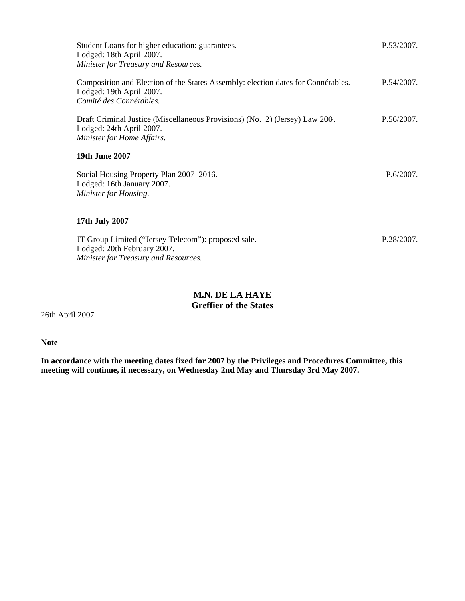| Student Loans for higher education: guarantees.<br>Lodged: 18th April 2007.<br>Minister for Treasury and Resources.                     | P.53/2007.   |
|-----------------------------------------------------------------------------------------------------------------------------------------|--------------|
| Composition and Election of the States Assembly: election dates for Connétables.<br>Lodged: 19th April 2007.<br>Comité des Connétables. | P.54/2007.   |
| Draft Criminal Justice (Miscellaneous Provisions) (No. 2) (Jersey) Law 200.<br>Lodged: 24th April 2007.<br>Minister for Home Affairs.   | P.56/2007.   |
| <b>19th June 2007</b>                                                                                                                   |              |
| Social Housing Property Plan 2007–2016.<br>Lodged: 16th January 2007.<br>Minister for Housing.                                          | $P.6/2007$ . |
| 17th July 2007                                                                                                                          |              |
| JT Group Limited ("Jersey Telecom"): proposed sale.<br>Lodged: 20th February 2007.<br>Minister for Treasury and Resources.              | P.28/2007.   |

## **M.N. DE LA HAYE Greffier of the States**

26th April 2007

**Note –**

**In accordance with the meeting dates fixed for 2007 by the Privileges and Procedures Committee, this meeting will continue, if necessary, on Wednesday 2nd May and Thursday 3rd May 2007.**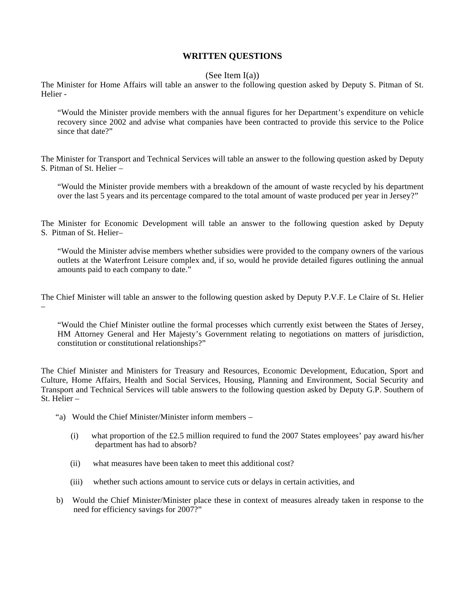### **WRITTEN QUESTIONS**

#### (See Item  $I(a)$ )

The Minister for Home Affairs will table an answer to the following question asked by Deputy S. Pitman of St. Helier -

"Would the Minister provide members with the annual figures for her Department's expenditure on vehicle recovery since 2002 and advise what companies have been contracted to provide this service to the Police since that date?"

The Minister for Transport and Technical Services will table an answer to the following question asked by Deputy S. Pitman of St. Helier –

"Would the Minister provide members with a breakdown of the amount of waste recycled by his department over the last 5 years and its percentage compared to the total amount of waste produced per year in Jersey?"

The Minister for Economic Development will table an answer to the following question asked by Deputy S. Pitman of St. Helier–

"Would the Minister advise members whether subsidies were provided to the company owners of the various outlets at the Waterfront Leisure complex and, if so, would he provide detailed figures outlining the annual amounts paid to each company to date."

The Chief Minister will table an answer to the following question asked by Deputy P.V.F. Le Claire of St. Helier

"Would the Chief Minister outline the formal processes which currently exist between the States of Jersey, HM Attorney General and Her Majesty's Government relating to negotiations on matters of jurisdiction, constitution or constitutional relationships?"

The Chief Minister and Ministers for Treasury and Resources, Economic Development, Education, Sport and Culture, Home Affairs, Health and Social Services, Housing, Planning and Environment, Social Security and Transport and Technical Services will table answers to the following question asked by Deputy G.P. Southern of St. Helier –

"a) Would the Chief Minister/Minister inform members –

–

- (i) what proportion of the £2.5 million required to fund the 2007 States employees' pay award his/her department has had to absorb?
- (ii) what measures have been taken to meet this additional cost?
- (iii) whether such actions amount to service cuts or delays in certain activities, and
- b) Would the Chief Minister/Minister place these in context of measures already taken in response to the need for efficiency savings for 2007?"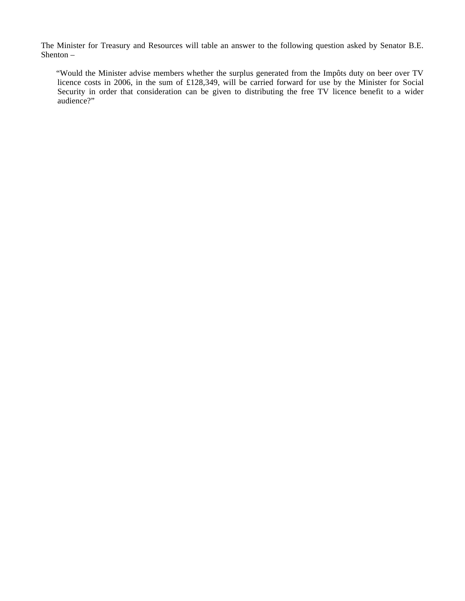The Minister for Treasury and Resources will table an answer to the following question asked by Senator B.E. Shenton –

 "Would the Minister advise members whether the surplus generated from the Impôts duty on beer over TV licence costs in 2006, in the sum of £128,349, will be carried forward for use by the Minister for Social Security in order that consideration can be given to distributing the free TV licence benefit to a wider audience?"